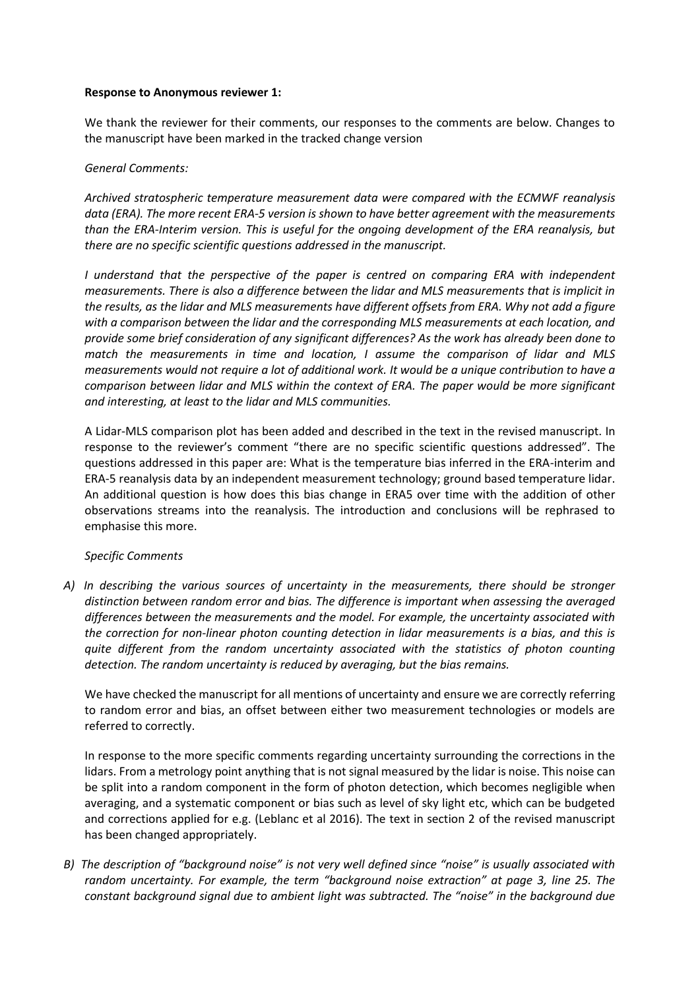#### **Response to Anonymous reviewer 1:**

We thank the reviewer for their comments, our responses to the comments are below. Changes to the manuscript have been marked in the tracked change version

### *General Comments:*

*Archived stratospheric temperature measurement data were compared with the ECMWF reanalysis data (ERA). The more recent ERA-5 version is shown to have better agreement with the measurements than the ERA-Interim version. This is useful for the ongoing development of the ERA reanalysis, but there are no specific scientific questions addressed in the manuscript.*

*I understand that the perspective of the paper is centred on comparing ERA with independent measurements. There is also a difference between the lidar and MLS measurements that is implicit in the results, as the lidar and MLS measurements have different offsets from ERA. Why not add a figure with a comparison between the lidar and the corresponding MLS measurements at each location, and provide some brief consideration of any significant differences? As the work has already been done to match the measurements in time and location, I assume the comparison of lidar and MLS measurements would not require a lot of additional work. It would be a unique contribution to have a comparison between lidar and MLS within the context of ERA. The paper would be more significant and interesting, at least to the lidar and MLS communities.*

A Lidar-MLS comparison plot has been added and described in the text in the revised manuscript. In response to the reviewer's comment "there are no specific scientific questions addressed". The questions addressed in this paper are: What is the temperature bias inferred in the ERA-interim and ERA-5 reanalysis data by an independent measurement technology; ground based temperature lidar. An additional question is how does this bias change in ERA5 over time with the addition of other observations streams into the reanalysis. The introduction and conclusions will be rephrased to emphasise this more.

# *Specific Comments*

*A) In describing the various sources of uncertainty in the measurements, there should be stronger distinction between random error and bias. The difference is important when assessing the averaged differences between the measurements and the model. For example, the uncertainty associated with the correction for non-linear photon counting detection in lidar measurements is a bias, and this is quite different from the random uncertainty associated with the statistics of photon counting detection. The random uncertainty is reduced by averaging, but the bias remains.*

We have checked the manuscript for all mentions of uncertainty and ensure we are correctly referring to random error and bias, an offset between either two measurement technologies or models are referred to correctly.

In response to the more specific comments regarding uncertainty surrounding the corrections in the lidars. From a metrology point anything that is not signal measured by the lidar is noise. This noise can be split into a random component in the form of photon detection, which becomes negligible when averaging, and a systematic component or bias such as level of sky light etc, which can be budgeted and corrections applied for e.g. (Leblanc et al 2016). The text in section 2 of the revised manuscript has been changed appropriately.

*B) The description of "background noise" is not very well defined since "noise" is usually associated with random uncertainty. For example, the term "background noise extraction" at page 3, line 25. The constant background signal due to ambient light was subtracted. The "noise" in the background due*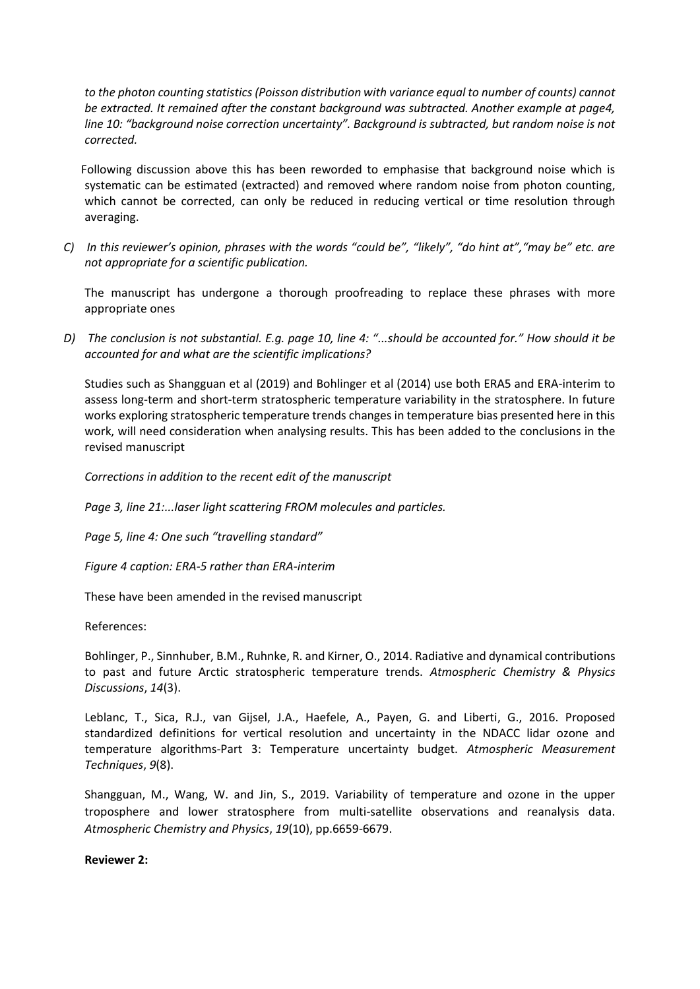*to the photon counting statistics (Poisson distribution with variance equal to number of counts) cannot be extracted. It remained after the constant background was subtracted. Another example at page4, line 10: "background noise correction uncertainty". Background is subtracted, but random noise is not corrected.*

Following discussion above this has been reworded to emphasise that background noise which is systematic can be estimated (extracted) and removed where random noise from photon counting, which cannot be corrected, can only be reduced in reducing vertical or time resolution through averaging.

*C) In this reviewer's opinion, phrases with the words "could be", "likely", "do hint at","may be" etc. are not appropriate for a scientific publication.*

The manuscript has undergone a thorough proofreading to replace these phrases with more appropriate ones

*D) The conclusion is not substantial. E.g. page 10, line 4: "...should be accounted for." How should it be accounted for and what are the scientific implications?*

Studies such as Shangguan et al (2019) and Bohlinger et al (2014) use both ERA5 and ERA-interim to assess long-term and short-term stratospheric temperature variability in the stratosphere. In future works exploring stratospheric temperature trends changes in temperature bias presented here in this work, will need consideration when analysing results. This has been added to the conclusions in the revised manuscript

*Corrections in addition to the recent edit of the manuscript*

*Page 3, line 21:...laser light scattering FROM molecules and particles.*

*Page 5, line 4: One such "travelling standard"*

*Figure 4 caption: ERA-5 rather than ERA-interim*

These have been amended in the revised manuscript

References:

Bohlinger, P., Sinnhuber, B.M., Ruhnke, R. and Kirner, O., 2014. Radiative and dynamical contributions to past and future Arctic stratospheric temperature trends. *Atmospheric Chemistry & Physics Discussions*, *14*(3).

Leblanc, T., Sica, R.J., van Gijsel, J.A., Haefele, A., Payen, G. and Liberti, G., 2016. Proposed standardized definitions for vertical resolution and uncertainty in the NDACC lidar ozone and temperature algorithms-Part 3: Temperature uncertainty budget. *Atmospheric Measurement Techniques*, *9*(8).

Shangguan, M., Wang, W. and Jin, S., 2019. Variability of temperature and ozone in the upper troposphere and lower stratosphere from multi-satellite observations and reanalysis data. *Atmospheric Chemistry and Physics*, *19*(10), pp.6659-6679.

**Reviewer 2:**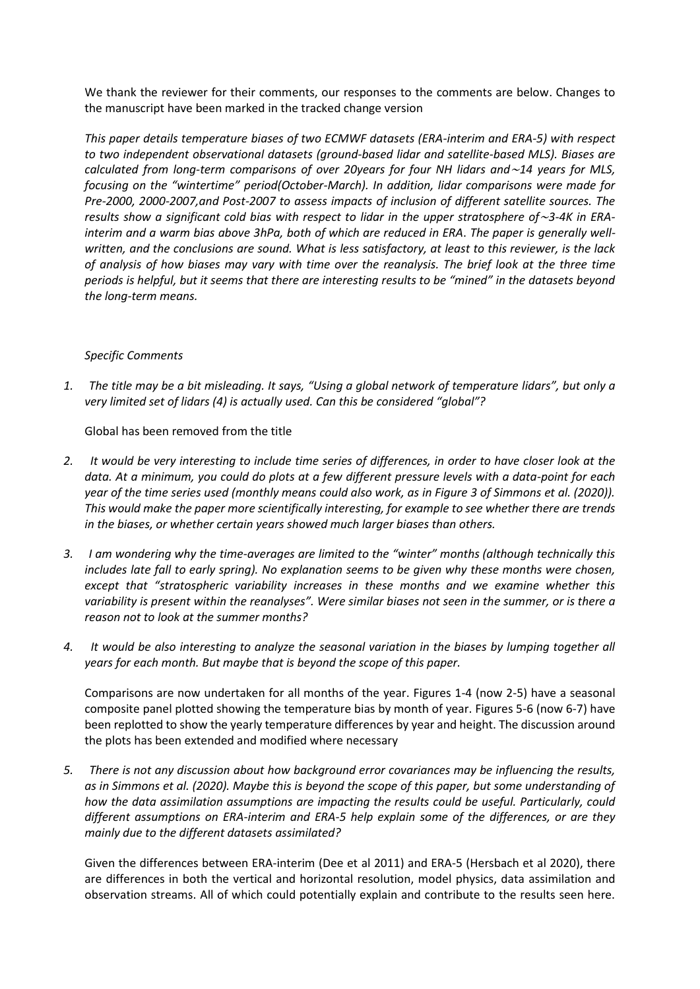We thank the reviewer for their comments, our responses to the comments are below. Changes to the manuscript have been marked in the tracked change version

*This paper details temperature biases of two ECMWF datasets (ERA-interim and ERA-5) with respect to two independent observational datasets (ground-based lidar and satellite-based MLS). Biases are calculated from long-term comparisons of over 20years for four NH lidars and*∼*14 years for MLS, focusing on the "wintertime" period(October-March). In addition, lidar comparisons were made for Pre-2000, 2000-2007,and Post-2007 to assess impacts of inclusion of different satellite sources. The results show a significant cold bias with respect to lidar in the upper stratosphere of*∼*3-4K in ERAinterim and a warm bias above 3hPa, both of which are reduced in ERA*. *The paper is generally wellwritten, and the conclusions are sound. What is less satisfactory, at least to this reviewer, is the lack of analysis of how biases may vary with time over the reanalysis. The brief look at the three time periods is helpful, but it seems that there are interesting results to be "mined" in the datasets beyond the long-term means.*

# *Specific Comments*

*1. The title may be a bit misleading. It says, "Using a global network of temperature lidars", but only a very limited set of lidars (4) is actually used. Can this be considered "global"?*

Global has been removed from the title

- *2. It would be very interesting to include time series of differences, in order to have closer look at the data. At a minimum, you could do plots at a few different pressure levels with a data-point for each year of the time series used (monthly means could also work, as in Figure 3 of Simmons et al. (2020)). This would make the paper more scientifically interesting, for example to see whether there are trends in the biases, or whether certain years showed much larger biases than others.*
- *3. I am wondering why the time-averages are limited to the "winter" months (although technically this includes late fall to early spring). No explanation seems to be given why these months were chosen, except that "stratospheric variability increases in these months and we examine whether this variability is present within the reanalyses". Were similar biases not seen in the summer, or is there a reason not to look at the summer months?*
- *4. It would be also interesting to analyze the seasonal variation in the biases by lumping together all years for each month. But maybe that is beyond the scope of this paper.*

Comparisons are now undertaken for all months of the year. Figures 1-4 (now 2-5) have a seasonal composite panel plotted showing the temperature bias by month of year. Figures 5-6 (now 6-7) have been replotted to show the yearly temperature differences by year and height. The discussion around the plots has been extended and modified where necessary

*5. There is not any discussion about how background error covariances may be influencing the results, as in Simmons et al. (2020). Maybe this is beyond the scope of this paper, but some understanding of how the data assimilation assumptions are impacting the results could be useful. Particularly, could different assumptions on ERA-interim and ERA-5 help explain some of the differences, or are they mainly due to the different datasets assimilated?*

Given the differences between ERA-interim (Dee et al 2011) and ERA-5 (Hersbach et al 2020), there are differences in both the vertical and horizontal resolution, model physics, data assimilation and observation streams. All of which could potentially explain and contribute to the results seen here.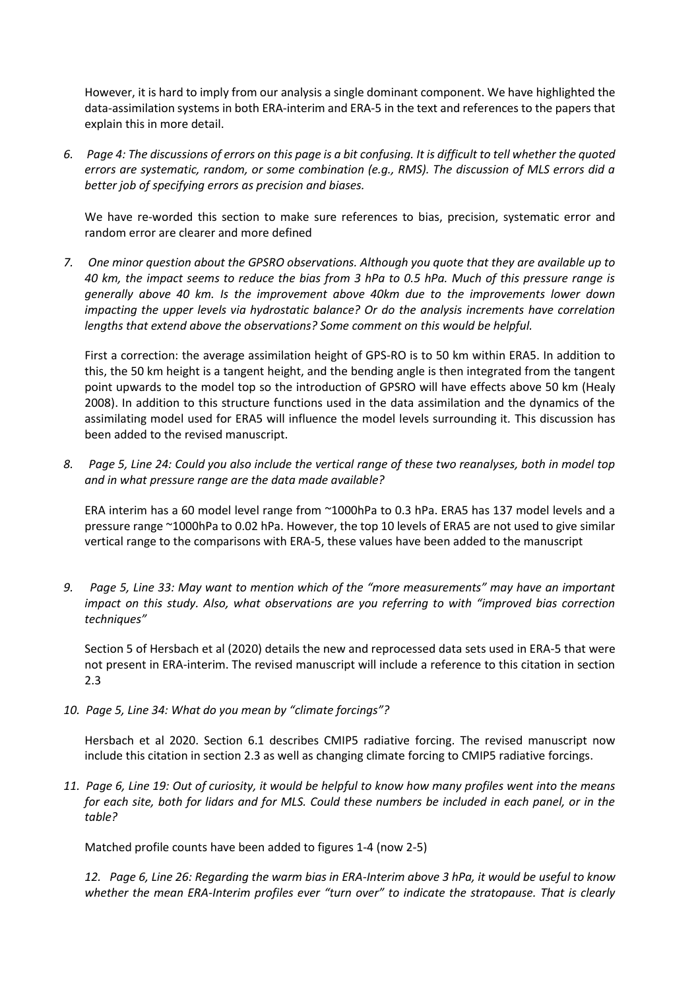However, it is hard to imply from our analysis a single dominant component. We have highlighted the data-assimilation systems in both ERA-interim and ERA-5 in the text and references to the papers that explain this in more detail.

*6. Page 4: The discussions of errors on this page is a bit confusing. It is difficult to tell whether the quoted errors are systematic, random, or some combination (e.g., RMS). The discussion of MLS errors did a better job of specifying errors as precision and biases.*

We have re-worded this section to make sure references to bias, precision, systematic error and random error are clearer and more defined

*7. One minor question about the GPSRO observations. Although you quote that they are available up to 40 km, the impact seems to reduce the bias from 3 hPa to 0.5 hPa. Much of this pressure range is generally above 40 km. Is the improvement above 40km due to the improvements lower down impacting the upper levels via hydrostatic balance? Or do the analysis increments have correlation lengths that extend above the observations? Some comment on this would be helpful.*

First a correction: the average assimilation height of GPS-RO is to 50 km within ERA5. In addition to this, the 50 km height is a tangent height, and the bending angle is then integrated from the tangent point upwards to the model top so the introduction of GPSRO will have effects above 50 km (Healy 2008). In addition to this structure functions used in the data assimilation and the dynamics of the assimilating model used for ERA5 will influence the model levels surrounding it*.* This discussion has been added to the revised manuscript.

*8. Page 5, Line 24: Could you also include the vertical range of these two reanalyses, both in model top and in what pressure range are the data made available?*

ERA interim has a 60 model level range from ~1000hPa to 0.3 hPa. ERA5 has 137 model levels and a pressure range ~1000hPa to 0.02 hPa. However, the top 10 levels of ERA5 are not used to give similar vertical range to the comparisons with ERA-5, these values have been added to the manuscript

*9. Page 5, Line 33: May want to mention which of the "more measurements" may have an important impact on this study. Also, what observations are you referring to with "improved bias correction techniques"*

Section 5 of Hersbach et al (2020) details the new and reprocessed data sets used in ERA-5 that were not present in ERA-interim. The revised manuscript will include a reference to this citation in section 2.3

*10. Page 5, Line 34: What do you mean by "climate forcings"?*

Hersbach et al 2020. Section 6.1 describes CMIP5 radiative forcing. The revised manuscript now include this citation in section 2.3 as well as changing climate forcing to CMIP5 radiative forcings.

*11. Page 6, Line 19: Out of curiosity, it would be helpful to know how many profiles went into the means for each site, both for lidars and for MLS. Could these numbers be included in each panel, or in the table?*

Matched profile counts have been added to figures 1-4 (now 2-5)

*12. Page 6, Line 26: Regarding the warm bias in ERA-Interim above 3 hPa, it would be useful to know whether the mean ERA-Interim profiles ever "turn over" to indicate the stratopause. That is clearly*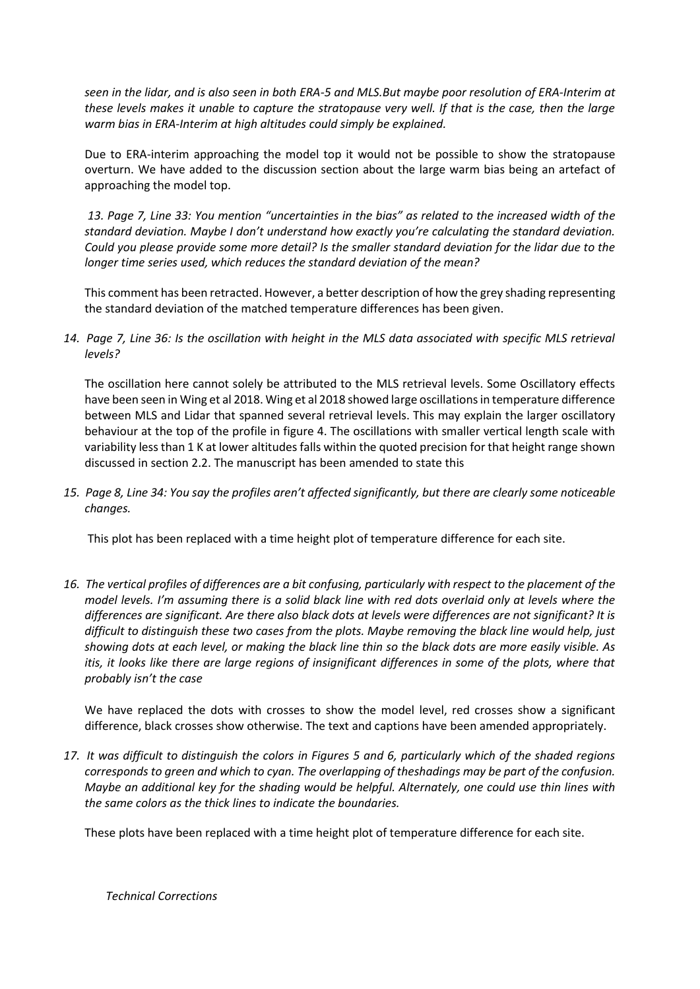*seen in the lidar, and is also seen in both ERA-5 and MLS.But maybe poor resolution of ERA-Interim at these levels makes it unable to capture the stratopause very well. If that is the case, then the large warm bias in ERA-Interim at high altitudes could simply be explained.*

Due to ERA-interim approaching the model top it would not be possible to show the stratopause overturn. We have added to the discussion section about the large warm bias being an artefact of approaching the model top.

*13. Page 7, Line 33: You mention "uncertainties in the bias" as related to the increased width of the standard deviation. Maybe I don't understand how exactly you're calculating the standard deviation. Could you please provide some more detail? Is the smaller standard deviation for the lidar due to the longer time series used, which reduces the standard deviation of the mean?*

This comment has been retracted. However, a better description of how the grey shading representing the standard deviation of the matched temperature differences has been given.

14. Page 7, Line 36: Is the oscillation with height in the MLS data associated with specific MLS retrieval *levels?*

The oscillation here cannot solely be attributed to the MLS retrieval levels. Some Oscillatory effects have been seen in Wing et al 2018. Wing et al 2018 showed large oscillations in temperature difference between MLS and Lidar that spanned several retrieval levels. This may explain the larger oscillatory behaviour at the top of the profile in figure 4. The oscillations with smaller vertical length scale with variability less than 1 K at lower altitudes falls within the quoted precision for that height range shown discussed in section 2.2. The manuscript has been amended to state this

*15. Page 8, Line 34: You say the profiles aren't affected significantly, but there are clearly some noticeable changes.*

This plot has been replaced with a time height plot of temperature difference for each site.

*16. The vertical profiles of differences are a bit confusing, particularly with respect to the placement of the model levels. I'm assuming there is a solid black line with red dots overlaid only at levels where the differences are significant. Are there also black dots at levels were differences are not significant? It is difficult to distinguish these two cases from the plots. Maybe removing the black line would help, just showing dots at each level, or making the black line thin so the black dots are more easily visible. As itis, it looks like there are large regions of insignificant differences in some of the plots, where that probably isn't the case*

We have replaced the dots with crosses to show the model level, red crosses show a significant difference, black crosses show otherwise. The text and captions have been amended appropriately.

*17. It was difficult to distinguish the colors in Figures 5 and 6, particularly which of the shaded regions corresponds to green and which to cyan. The overlapping of theshadings may be part of the confusion. Maybe an additional key for the shading would be helpful. Alternately, one could use thin lines with the same colors as the thick lines to indicate the boundaries.*

These plots have been replaced with a time height plot of temperature difference for each site.

*Technical Corrections*